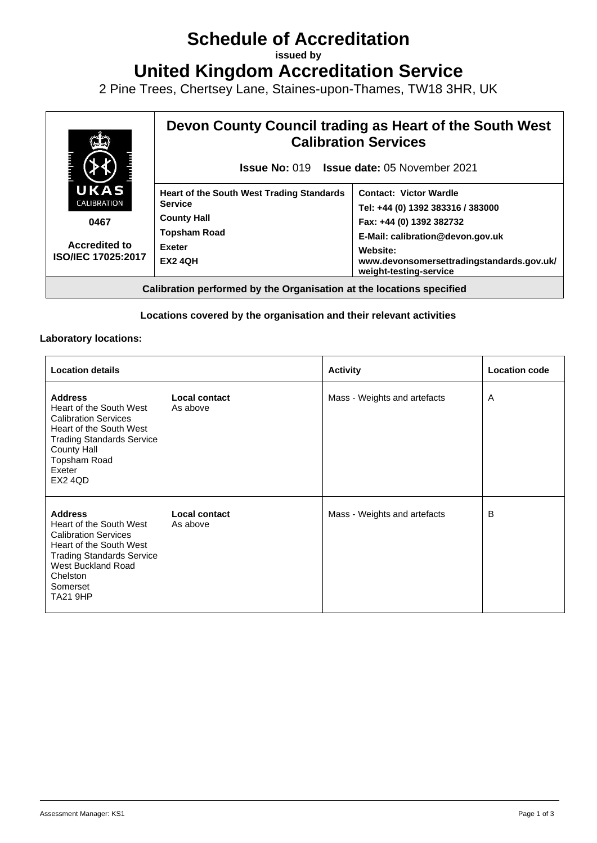# **Schedule of Accreditation**

**issued by**

**United Kingdom Accreditation Service**

2 Pine Trees, Chertsey Lane, Staines-upon-Thames, TW18 3HR, UK



## **Locations covered by the organisation and their relevant activities**

#### **Laboratory locations:**

| <b>Location details</b>                                                                                                                                                                                  |                           | <b>Activity</b>              | <b>Location code</b> |
|----------------------------------------------------------------------------------------------------------------------------------------------------------------------------------------------------------|---------------------------|------------------------------|----------------------|
| <b>Address</b><br>Heart of the South West<br><b>Calibration Services</b><br>Heart of the South West<br><b>Trading Standards Service</b><br>County Hall<br>Topsham Road<br>Exeter<br><b>EX2 4QD</b>       | Local contact<br>As above | Mass - Weights and artefacts | A                    |
| <b>Address</b><br>Heart of the South West<br><b>Calibration Services</b><br>Heart of the South West<br><b>Trading Standards Service</b><br>West Buckland Road<br>Chelston<br>Somerset<br><b>TA21 9HP</b> | Local contact<br>As above | Mass - Weights and artefacts | B                    |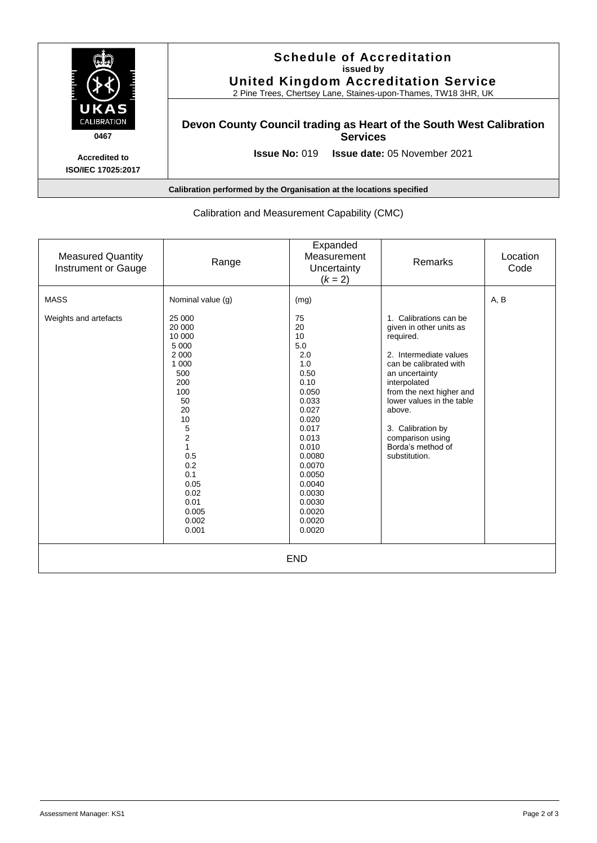

| Calibration and Measurement Capability (CMC)    |                                                                                                                                                                                                   |                                                                                                                                                                                                              |                                                                                                                                                                                                                                                                                                        |                  |  |  |
|-------------------------------------------------|---------------------------------------------------------------------------------------------------------------------------------------------------------------------------------------------------|--------------------------------------------------------------------------------------------------------------------------------------------------------------------------------------------------------------|--------------------------------------------------------------------------------------------------------------------------------------------------------------------------------------------------------------------------------------------------------------------------------------------------------|------------------|--|--|
| <b>Measured Quantity</b><br>Instrument or Gauge | Range                                                                                                                                                                                             | Expanded<br>Measurement<br>Uncertainty<br>$(k = 2)$                                                                                                                                                          | Remarks                                                                                                                                                                                                                                                                                                | Location<br>Code |  |  |
| <b>MASS</b>                                     | Nominal value (g)                                                                                                                                                                                 | (mg)                                                                                                                                                                                                         |                                                                                                                                                                                                                                                                                                        | A, B             |  |  |
| Weights and artefacts                           | 25 000<br>20 000<br>10 000<br>5 0 0 0<br>2 0 0 0<br>1 0 0 0<br>500<br>200<br>100<br>50<br>20<br>10<br>5<br>$\overline{c}$<br>0.5<br>0.2<br>0.1<br>0.05<br>0.02<br>0.01<br>0.005<br>0.002<br>0.001 | 75<br>20<br>10<br>5.0<br>2.0<br>1.0<br>0.50<br>0.10<br>0.050<br>0.033<br>0.027<br>0.020<br>0.017<br>0.013<br>0.010<br>0.0080<br>0.0070<br>0.0050<br>0.0040<br>0.0030<br>0.0030<br>0.0020<br>0.0020<br>0.0020 | 1. Calibrations can be<br>given in other units as<br>required.<br>2. Intermediate values<br>can be calibrated with<br>an uncertainty<br>interpolated<br>from the next higher and<br>lower values in the table<br>above.<br>3. Calibration by<br>comparison using<br>Borda's method of<br>substitution. |                  |  |  |
| <b>END</b>                                      |                                                                                                                                                                                                   |                                                                                                                                                                                                              |                                                                                                                                                                                                                                                                                                        |                  |  |  |

## Calibration and Measurement Capability (CMC)